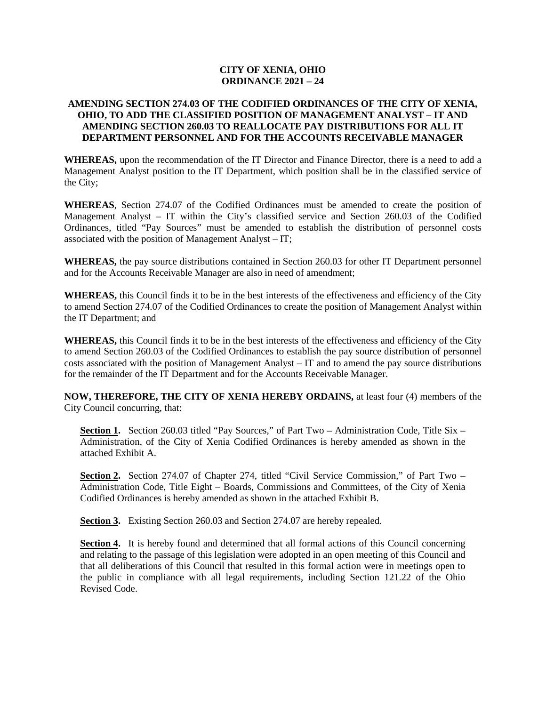## **CITY OF XENIA, OHIO ORDINANCE 2021 – 24**

## **AMENDING SECTION 274.03 OF THE CODIFIED ORDINANCES OF THE CITY OF XENIA, OHIO, TO ADD THE CLASSIFIED POSITION OF MANAGEMENT ANALYST – IT AND AMENDING SECTION 260.03 TO REALLOCATE PAY DISTRIBUTIONS FOR ALL IT DEPARTMENT PERSONNEL AND FOR THE ACCOUNTS RECEIVABLE MANAGER**

**WHEREAS,** upon the recommendation of the IT Director and Finance Director, there is a need to add a Management Analyst position to the IT Department, which position shall be in the classified service of the City;

**WHEREAS**, Section 274.07 of the Codified Ordinances must be amended to create the position of Management Analyst – IT within the City's classified service and Section 260.03 of the Codified Ordinances, titled "Pay Sources" must be amended to establish the distribution of personnel costs associated with the position of Management Analyst – IT;

**WHEREAS,** the pay source distributions contained in Section 260.03 for other IT Department personnel and for the Accounts Receivable Manager are also in need of amendment;

**WHEREAS,** this Council finds it to be in the best interests of the effectiveness and efficiency of the City to amend Section 274.07 of the Codified Ordinances to create the position of Management Analyst within the IT Department; and

**WHEREAS,** this Council finds it to be in the best interests of the effectiveness and efficiency of the City to amend Section 260.03 of the Codified Ordinances to establish the pay source distribution of personnel costs associated with the position of Management Analyst – IT and to amend the pay source distributions for the remainder of the IT Department and for the Accounts Receivable Manager.

**NOW, THEREFORE, THE CITY OF XENIA HEREBY ORDAINS,** at least four (4) members of the City Council concurring, that:

Section 1. Section 260.03 titled "Pay Sources," of Part Two - Administration Code, Title Six -Administration, of the City of Xenia Codified Ordinances is hereby amended as shown in the attached Exhibit A.

Section 2. Section 274.07 of Chapter 274, titled "Civil Service Commission," of Part Two – Administration Code, Title Eight – Boards, Commissions and Committees, of the City of Xenia Codified Ordinances is hereby amended as shown in the attached Exhibit B.

**Section 3.** Existing Section 260.03 and Section 274.07 are hereby repealed.

**Section 4.** It is hereby found and determined that all formal actions of this Council concerning and relating to the passage of this legislation were adopted in an open meeting of this Council and that all deliberations of this Council that resulted in this formal action were in meetings open to the public in compliance with all legal requirements, including Section 121.22 of the Ohio Revised Code.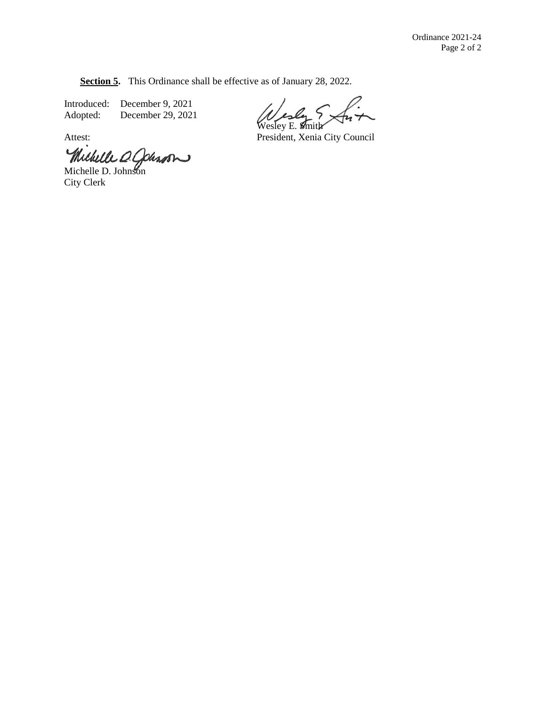**Section 5.** This Ordinance shall be effective as of January 28, 2022.

Introduced: December 9, 2021<br>Adopted: December 29, 2021 December 29, 2021

Wesley E. **S**mith

Attest: President, Xenia City Council

Michelle D. Colesson

City Clerk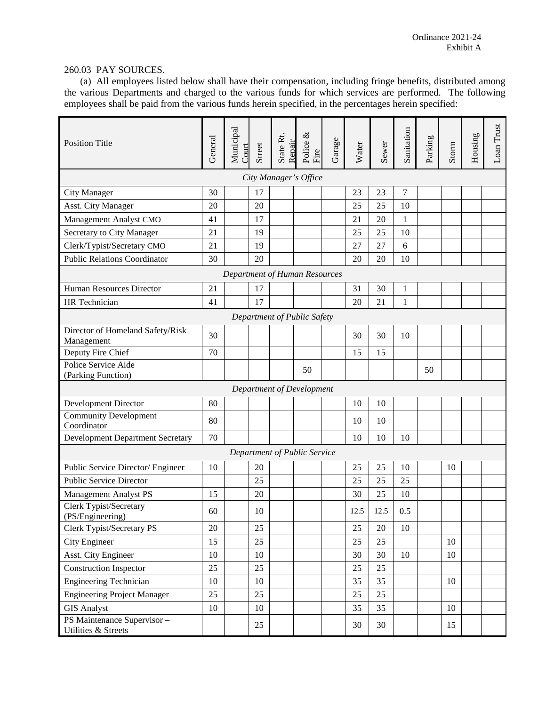## 260.03 PAY SOURCES.

(a) All employees listed below shall have their compensation, including fringe benefits, distributed among the various Departments and charged to the various funds for which services are performed. The following employees shall be paid from the various funds herein specified, in the percentages herein specified:

| <b>Position Title</b>                              | General | Municipal<br>Court | Street | State Rt.<br>Repair | Police $\&$<br>Fire           | Garage | Water | Sewer | Sanitation | Parking | Storm  | Housing | Loan Trust |
|----------------------------------------------------|---------|--------------------|--------|---------------------|-------------------------------|--------|-------|-------|------------|---------|--------|---------|------------|
|                                                    |         |                    |        |                     | City Manager's Office         |        |       |       |            |         |        |         |            |
| City Manager                                       | 30      |                    | 17     |                     |                               |        | 23    | 23    | 7          |         |        |         |            |
| <b>Asst. City Manager</b>                          | 20      |                    | 20     |                     |                               |        | 25    | 25    | 10         |         |        |         |            |
| Management Analyst CMO                             | 41      |                    | 17     |                     |                               |        | 21    | 20    | 1          |         |        |         |            |
| Secretary to City Manager                          | 21      |                    | 19     |                     |                               |        | 25    | 25    | 10         |         |        |         |            |
| Clerk/Typist/Secretary CMO                         | 21      |                    | 19     |                     |                               |        | 27    | 27    | 6          |         |        |         |            |
| <b>Public Relations Coordinator</b>                | 30      |                    | 20     |                     |                               |        | 20    | 20    | 10         |         |        |         |            |
|                                                    |         |                    |        |                     | Department of Human Resources |        |       |       |            |         |        |         |            |
| Human Resources Director                           | 21      |                    | 17     |                     |                               |        | 31    | 30    | 1          |         |        |         |            |
| HR Technician                                      | 41      |                    | 17     |                     |                               |        | 20    | 21    | 1          |         |        |         |            |
|                                                    |         |                    |        |                     | Department of Public Safety   |        |       |       |            |         |        |         |            |
| Director of Homeland Safety/Risk                   | 30      |                    |        |                     |                               |        | 30    | 30    | 10         |         |        |         |            |
| Management                                         |         |                    |        |                     |                               |        |       |       |            |         |        |         |            |
| Deputy Fire Chief                                  | 70      |                    |        |                     |                               |        | 15    | 15    |            |         |        |         |            |
| Police Service Aide<br>(Parking Function)          |         |                    |        |                     | 50                            |        |       |       |            | 50      |        |         |            |
|                                                    |         |                    |        |                     | Department of Development     |        |       |       |            |         |        |         |            |
| Development Director                               | 80      |                    |        |                     |                               |        | 10    | 10    |            |         |        |         |            |
| <b>Community Development</b><br>Coordinator        | 80      |                    |        |                     |                               |        | 10    | 10    |            |         |        |         |            |
| <b>Development Department Secretary</b>            | 70      |                    |        |                     |                               |        | 10    | 10    | 10         |         |        |         |            |
|                                                    |         |                    |        |                     | Department of Public Service  |        |       |       |            |         |        |         |            |
| Public Service Director/ Engineer                  | 10      |                    | 20     |                     |                               |        | 25    | 25    | 10         |         | 10     |         |            |
| <b>Public Service Director</b>                     |         |                    | 25     |                     |                               |        | 25    | 25    | 25         |         |        |         |            |
| <b>Management Analyst PS</b>                       | 15      |                    | 20     |                     |                               |        | 30    | 25    | 10         |         |        |         |            |
| Clerk Typist/Secretary<br>(PS/Engineering)         | 60      |                    | 10     |                     |                               |        | 12.5  | 12.5  | 0.5        |         |        |         |            |
| Clerk Typist/Secretary PS                          | 20      |                    | 25     |                     |                               |        | 25    | 20    | 10         |         |        |         |            |
| City Engineer                                      | 15      |                    | 25     |                     |                               |        | 25    | 25    |            |         | 10     |         |            |
| Asst. City Engineer                                | 10      |                    | 10     |                     |                               |        | 30    | 30    | 10         |         | 10     |         |            |
| <b>Construction Inspector</b>                      | 25      |                    | 25     |                     |                               |        | 25    | 25    |            |         |        |         |            |
| <b>Engineering Technician</b>                      | 10      |                    | $10\,$ |                     |                               |        | 35    | 35    |            |         | 10     |         |            |
| <b>Engineering Project Manager</b>                 | 25      |                    | 25     |                     |                               |        | 25    | 25    |            |         |        |         |            |
| <b>GIS Analyst</b>                                 | $10\,$  |                    | $10\,$ |                     |                               |        | 35    | 35    |            |         | $10\,$ |         |            |
| PS Maintenance Supervisor -<br>Utilities & Streets |         |                    | 25     |                     |                               |        | 30    | 30    |            |         | 15     |         |            |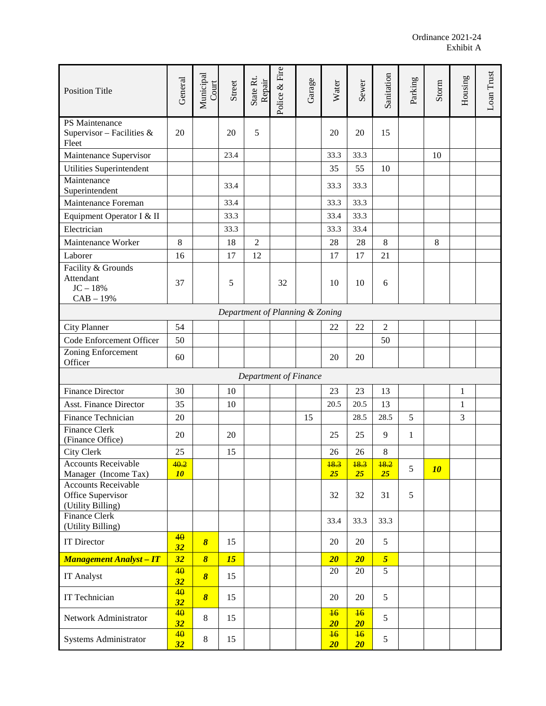| <b>Position Title</b>                                                | General    | Municipal<br>Court    | Street | State Rt.<br>Repair   | Police & Fire | Garage | Water                | Sewer                | Sanitation     | Parking      | Storm   | Housing      | Loan Trust |
|----------------------------------------------------------------------|------------|-----------------------|--------|-----------------------|---------------|--------|----------------------|----------------------|----------------|--------------|---------|--------------|------------|
| PS Maintenance<br>Supervisor – Facilities &<br>Fleet                 | 20         |                       | 20     | 5                     |               |        | 20                   | 20                   | 15             |              |         |              |            |
| Maintenance Supervisor                                               |            |                       | 23.4   |                       |               |        | 33.3                 | 33.3                 |                |              | 10      |              |            |
| Utilities Superintendent                                             |            |                       |        |                       |               |        | 35                   | 55                   | 10             |              |         |              |            |
| Maintenance<br>Superintendent                                        |            |                       | 33.4   |                       |               |        | 33.3                 | 33.3                 |                |              |         |              |            |
| Maintenance Foreman                                                  |            |                       | 33.4   |                       |               |        | 33.3                 | 33.3                 |                |              |         |              |            |
| Equipment Operator I & II                                            |            |                       | 33.3   |                       |               |        | 33.4                 | 33.3                 |                |              |         |              |            |
| Electrician                                                          |            |                       | 33.3   |                       |               |        | 33.3                 | 33.4                 |                |              |         |              |            |
| Maintenance Worker                                                   | 8          |                       | 18     | $\overline{2}$        |               |        | 28                   | 28                   | 8              |              | $\,8\,$ |              |            |
| Laborer                                                              | 16         |                       | 17     | 12                    |               |        | 17                   | 17                   | 21             |              |         |              |            |
| Facility & Grounds<br>Attendant<br>$JC - 18%$<br>$CAB - 19%$         | 37         |                       | 5      |                       | 32            |        | 10                   | 10                   | 6              |              |         |              |            |
| Department of Planning & Zoning                                      |            |                       |        |                       |               |        |                      |                      |                |              |         |              |            |
| <b>City Planner</b>                                                  | 54         |                       |        |                       |               |        | 22                   | 22                   | $\overline{2}$ |              |         |              |            |
| Code Enforcement Officer                                             | 50         |                       |        |                       |               |        |                      |                      | 50             |              |         |              |            |
| Zoning Enforcement<br>Officer                                        | 60         |                       |        |                       |               |        | 20                   | 20                   |                |              |         |              |            |
|                                                                      |            |                       |        | Department of Finance |               |        |                      |                      |                |              |         |              |            |
| <b>Finance Director</b>                                              | 30         |                       | 10     |                       |               |        | 23                   | 23                   | 13             |              |         | $\mathbf{1}$ |            |
| <b>Asst. Finance Director</b>                                        | 35         |                       | 10     |                       |               |        | 20.5                 | 20.5                 | 13             |              |         | $\mathbf{1}$ |            |
| Finance Technician                                                   | 20         |                       |        |                       |               | 15     |                      | 28.5                 | 28.5           | 5            |         | 3            |            |
| Finance Clerk<br>(Finance Office)                                    | 20         |                       | 20     |                       |               |        | 25                   | 25                   | 9              | $\mathbf{1}$ |         |              |            |
| City Clerk                                                           | 25         |                       | 15     |                       |               |        | 26                   | 26                   | $\,8\,$        |              |         |              |            |
| <b>Accounts Receivable</b><br>Manager (Income Tax)                   | 40.2<br>10 |                       |        |                       |               |        | 18.3<br>25           | 18.3<br>25           | 18.2<br>25     | 5            | 10      |              |            |
| <b>Accounts Receivable</b><br>Office Supervisor<br>(Utility Billing) |            |                       |        |                       |               |        | 32                   | 32                   | 31             | 5            |         |              |            |
| <b>Finance Clerk</b><br>(Utility Billing)                            |            |                       |        |                       |               |        | 33.4                 | 33.3                 | 33.3           |              |         |              |            |
| <b>IT Director</b>                                                   | 40<br>32   | $\boldsymbol{\delta}$ | 15     |                       |               |        | 20                   | 20                   | 5              |              |         |              |            |
| <b>Management Analyst - IT</b>                                       | 32         | $\boldsymbol{\delta}$ | 15     |                       |               |        | 20                   | $20\,$               | $\overline{5}$ |              |         |              |            |
| IT Analyst                                                           | 40<br>32   | $\boldsymbol{\delta}$ | 15     |                       |               |        | 20                   | 20                   | 5              |              |         |              |            |
| IT Technician                                                        | 40<br>32   | $\boldsymbol{\delta}$ | 15     |                       |               |        | 20                   | 20                   | 5              |              |         |              |            |
| Network Administrator                                                | 40<br>32   | 8                     | 15     |                       |               |        | $\frac{16}{5}$<br>20 | $\frac{16}{5}$<br>20 | 5              |              |         |              |            |
| Systems Administrator                                                | 40<br>32   | 8                     | 15     |                       |               |        | $\frac{16}{1}$<br>20 | $\frac{16}{1}$<br>20 | 5              |              |         |              |            |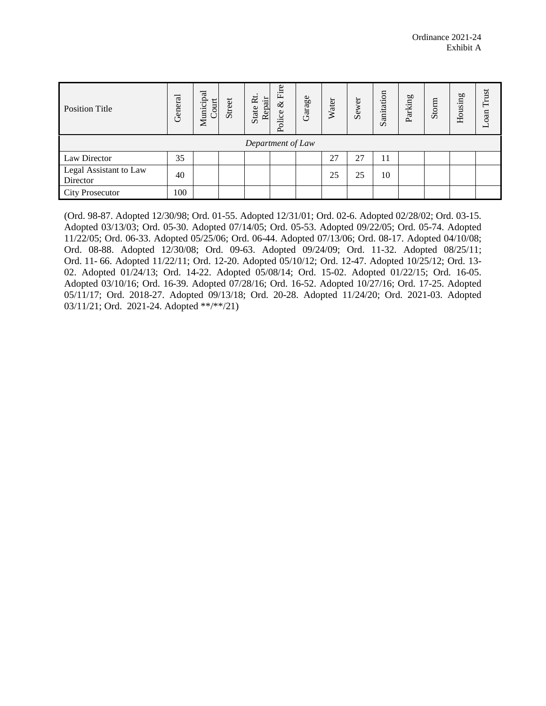| <b>Position Title</b>              | General | Municipal<br>Court | Street | $\tilde{\mathbf{R}}$<br>Repair<br>State | Fire<br>$\&$<br>Police | Garage | Water | Sewer | Sanitation | Parking | Storm | Housing | Trust<br>Loan |
|------------------------------------|---------|--------------------|--------|-----------------------------------------|------------------------|--------|-------|-------|------------|---------|-------|---------|---------------|
| Department of Law                  |         |                    |        |                                         |                        |        |       |       |            |         |       |         |               |
| Law Director                       | 35      |                    |        |                                         |                        |        | 27    | 27    | 11         |         |       |         |               |
| Legal Assistant to Law<br>Director | 40      |                    |        |                                         |                        |        | 25    | 25    | 10         |         |       |         |               |
| <b>City Prosecutor</b>             | 100     |                    |        |                                         |                        |        |       |       |            |         |       |         |               |

(Ord. 98-87. Adopted 12/30/98; Ord. 01-55. Adopted 12/31/01; Ord. 02-6. Adopted 02/28/02; Ord. 03-15. Adopted 03/13/03; Ord. 05-30. Adopted 07/14/05; Ord. 05-53. Adopted 09/22/05; Ord. 05-74. Adopted 11/22/05; Ord. 06-33. Adopted 05/25/06; Ord. 06-44. Adopted 07/13/06; Ord. 08-17. Adopted 04/10/08; Ord. 08-88. Adopted 12/30/08; Ord. 09-63. Adopted 09/24/09; Ord. 11-32. Adopted 08/25/11; Ord. 11- 66. Adopted 11/22/11; Ord. 12-20. Adopted 05/10/12; Ord. 12-47. Adopted 10/25/12; Ord. 13- 02. Adopted 01/24/13; Ord. 14-22. Adopted 05/08/14; Ord. 15-02. Adopted 01/22/15; Ord. 16-05. Adopted 03/10/16; Ord. 16-39. Adopted 07/28/16; Ord. 16-52. Adopted 10/27/16; Ord. 17-25. Adopted 05/11/17; Ord. 2018-27. Adopted 09/13/18; Ord. 20-28. Adopted 11/24/20; Ord. 2021-03. Adopted 03/11/21; Ord. 2021-24. Adopted \*\*/\*\*/21)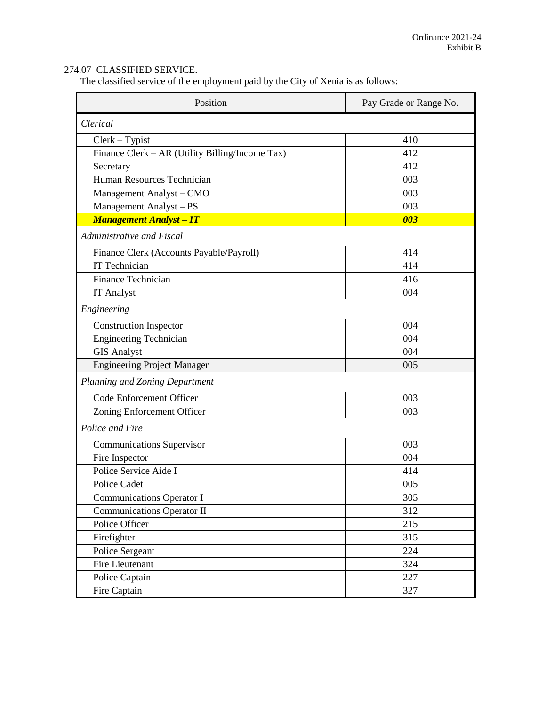## 274.07 CLASSIFIED SERVICE.

The classified service of the employment paid by the City of Xenia is as follows:

| Position                                        | Pay Grade or Range No. |
|-------------------------------------------------|------------------------|
| Clerical                                        |                        |
| $Clerk-Typist$                                  | 410                    |
| Finance Clerk - AR (Utility Billing/Income Tax) | 412                    |
| Secretary                                       | 412                    |
| Human Resources Technician                      | 003                    |
| Management Analyst - CMO                        | 003                    |
| Management Analyst - PS                         | 003                    |
| <b>Management Analyst - IT</b>                  | 003                    |
| Administrative and Fiscal                       |                        |
| Finance Clerk (Accounts Payable/Payroll)        | 414                    |
| <b>IT Technician</b>                            | 414                    |
| <b>Finance Technician</b>                       | 416                    |
| <b>IT Analyst</b>                               | 004                    |
| Engineering                                     |                        |
| <b>Construction Inspector</b>                   | 004                    |
| <b>Engineering Technician</b>                   | 004                    |
| <b>GIS Analyst</b>                              | 004                    |
| <b>Engineering Project Manager</b>              | 005                    |
| Planning and Zoning Department                  |                        |
| Code Enforcement Officer                        | 003                    |
| Zoning Enforcement Officer                      | 003                    |
| Police and Fire                                 |                        |
| <b>Communications Supervisor</b>                | 003                    |
| Fire Inspector                                  | 004                    |
| Police Service Aide I                           | 414                    |
| <b>Police Cadet</b>                             | 005                    |
| <b>Communications Operator I</b>                | 305                    |
| Communications Operator II                      | 312                    |
| Police Officer                                  | 215                    |
| Firefighter                                     | 315                    |
| Police Sergeant                                 | 224                    |
| Fire Lieutenant                                 | 324                    |
| Police Captain                                  | 227                    |
| Fire Captain                                    | 327                    |